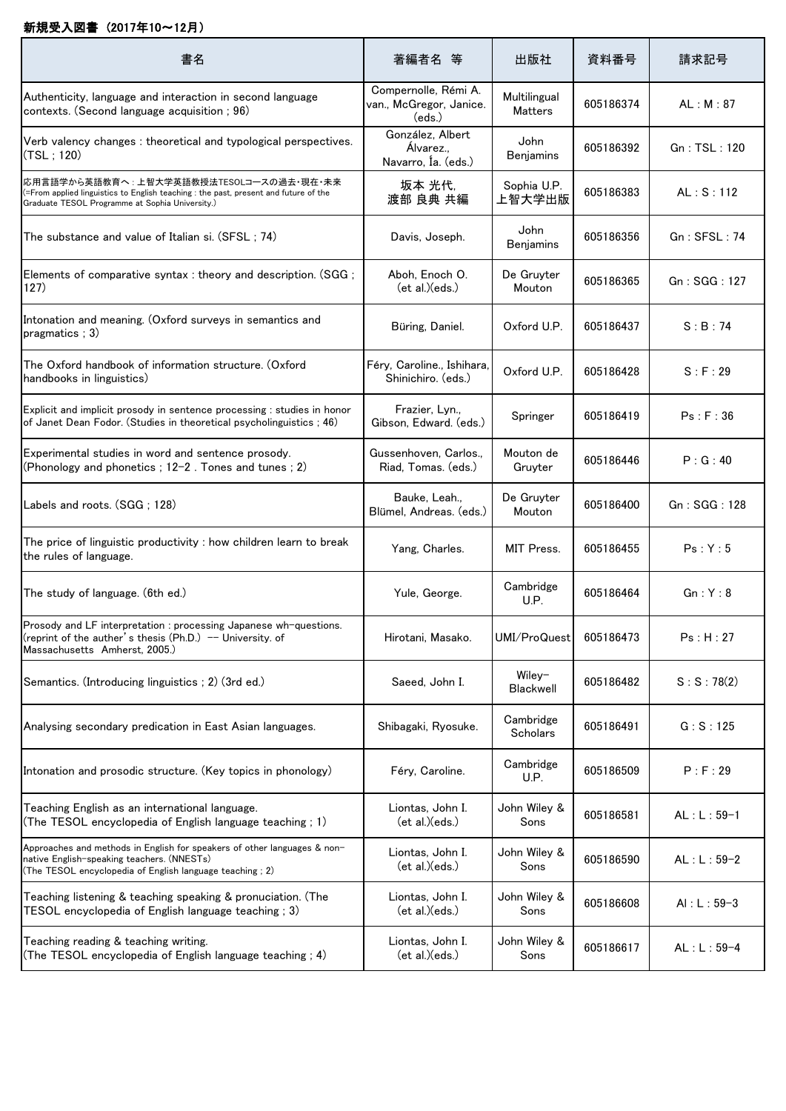## 新規受入図書 (2017年10~12月)

| 書名                                                                                                                                                                                   | 著編者名 等                                                    | 出版社                            | 資料番号      | 請求記号           |
|--------------------------------------------------------------------------------------------------------------------------------------------------------------------------------------|-----------------------------------------------------------|--------------------------------|-----------|----------------|
| Authenticity, language and interaction in second language<br>contexts. (Second language acquisition; 96)                                                                             | Compernolle, Rémi A.<br>van., McGregor, Janice.<br>(eds.) | Multilingual<br><b>Matters</b> | 605186374 | AL: M: 87      |
| Verb valency changes: theoretical and typological perspectives.<br>(TSL; 120)                                                                                                        | González, Albert<br>Álvarez.,<br>Navarro, Ía. (eds.)      | John<br><b>Benjamins</b>       | 605186392 | Gn : TSL : 120 |
| 応用言語学から英語教育へ : 上智大学英語教授法TESOLコースの過去・現在・未来<br>(=From applied linguistics to English teaching : the past, present and future of the<br>Graduate TESOL Programme at Sophia University.) | 坂本 光代,<br>渡部 良典 共編                                        | Sophia U.P.<br>上智大学出版          | 605186383 | AL: S: 112     |
| The substance and value of Italian si. (SFSL; 74)                                                                                                                                    | Davis, Joseph.                                            | John<br><b>Benjamins</b>       | 605186356 | Gn: SFSL: 74   |
| Elements of comparative syntax : theory and description. (SGG;<br>127)                                                                                                               | Aboh, Enoch O.<br>(et al.)(eds.)                          | De Gruyter<br>Mouton           | 605186365 | Gn : SGG : 127 |
| Intonation and meaning. (Oxford surveys in semantics and<br>pragmatics: 3)                                                                                                           | Büring, Daniel.                                           | Oxford U.P.                    | 605186437 | S:B:74         |
| The Oxford handbook of information structure. (Oxford<br>handbooks in linguistics)                                                                                                   | Féry, Caroline., Ishihara,<br>Shinichiro, (eds.)          | Oxford U.P.                    | 605186428 | S : F : 29     |
| Explicit and implicit prosody in sentence processing : studies in honor<br>of Janet Dean Fodor. (Studies in theoretical psycholinguistics ; 46)                                      | Frazier, Lyn.,<br>Gibson, Edward. (eds.)                  | Springer                       | 605186419 | Ps : F : 36    |
| Experimental studies in word and sentence prosody.<br>(Phonology and phonetics ; 12-2 . Tones and tunes ; 2)                                                                         | Gussenhoven, Carlos.,<br>Riad, Tomas. (eds.)              | Mouton de<br>Gruyter           | 605186446 | P:G:40         |
| Labels and roots. (SGG; 128)                                                                                                                                                         | Bauke, Leah.,<br>Blümel, Andreas. (eds.)                  | De Gruyter<br>Mouton           | 605186400 | Gn : SGG : 128 |
| The price of linguistic productivity : how children learn to break<br>the rules of language.                                                                                         | Yang, Charles.                                            | MIT Press.                     | 605186455 | Ps:Y:5         |
| The study of language. (6th ed.)                                                                                                                                                     | Yule, George.                                             | Cambridge<br>U.P.              | 605186464 | Gn:Y:8         |
| Prosody and LF interpretation : processing Japanese wh-questions.<br>(reprint of the auther's thesis $(Ph.D.)$ - University. of<br>Massachusetts Amherst. 2005.)                     | Hirotani, Masako.                                         | UMI/ProQuest                   | 605186473 | Ps : H : 27    |
| Semantics. (Introducing linguistics; 2) (3rd ed.)                                                                                                                                    | Saeed, John I.                                            | Wiley-<br>Blackwell            | 605186482 | S: S: 78(2)    |
| Analysing secondary predication in East Asian languages.                                                                                                                             | Shibagaki, Ryosuke.                                       | Cambridge<br>Scholars          | 605186491 | G: S: 125      |
| Intonation and prosodic structure. (Key topics in phonology)                                                                                                                         | Féry, Caroline.                                           | Cambridge<br>U.P.              | 605186509 | P: F: 29       |
| Teaching English as an international language.<br>(The TESOL encyclopedia of English language teaching ; 1)                                                                          | Liontas, John I.<br>ect al.)(eds.)                        | John Wiley &<br>Sons           | 605186581 | $AL: L: 59-1$  |
| Approaches and methods in English for speakers of other languages & non-<br>native English-speaking teachers. (NNESTs)<br>(The TESOL encyclopedia of English language teaching ; 2)  | Liontas, John I.<br>(et al.)(eds.)                        | John Wiley &<br>Sons           | 605186590 | $AL: L: 59-2$  |
| Teaching listening & teaching speaking & pronuciation. (The<br>TESOL encyclopedia of English language teaching; 3)                                                                   | Liontas, John I.<br>ect al.)(eds.)                        | John Wiley &<br>Sons           | 605186608 | $AI: L: 59-3$  |
| Teaching reading & teaching writing.<br>(The TESOL encyclopedia of English language teaching ; 4)                                                                                    | Liontas, John I.<br>ect al.)(eds.)                        | John Wiley &<br>Sons           | 605186617 | $AL: L: 59-4$  |